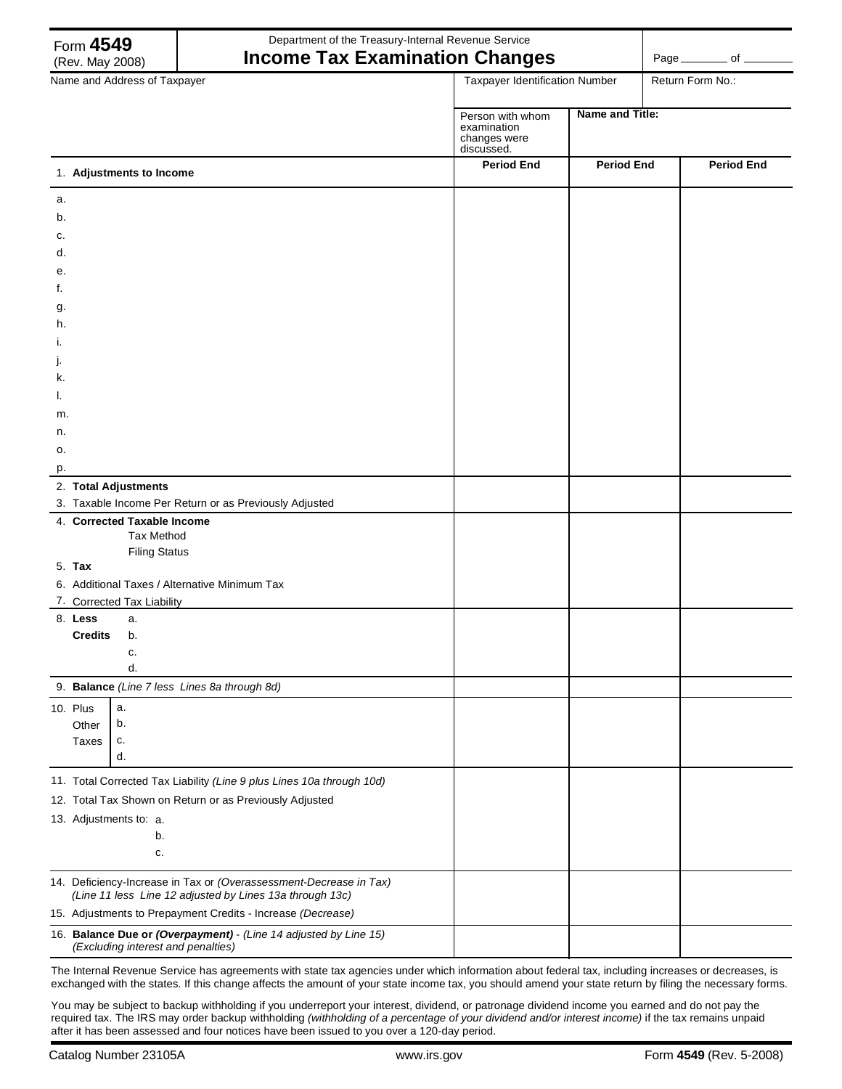|                              | Form 4549<br>(Rev. May 2008)                                                                                                   | Department of the Treasury-Internal Revenue Service<br><b>Income Tax Examination Changes</b>           |                                                               |                   |  | Page __________ of __ |  |
|------------------------------|--------------------------------------------------------------------------------------------------------------------------------|--------------------------------------------------------------------------------------------------------|---------------------------------------------------------------|-------------------|--|-----------------------|--|
| Name and Address of Taxpayer |                                                                                                                                |                                                                                                        | Taxpayer Identification Number                                |                   |  | Return Form No.:      |  |
|                              |                                                                                                                                |                                                                                                        | Person with whom<br>examination<br>changes were<br>discussed. | Name and Title:   |  |                       |  |
|                              | 1. Adjustments to Income                                                                                                       |                                                                                                        | <b>Period End</b>                                             | <b>Period End</b> |  | <b>Period End</b>     |  |
| a.                           |                                                                                                                                |                                                                                                        |                                                               |                   |  |                       |  |
| b.                           |                                                                                                                                |                                                                                                        |                                                               |                   |  |                       |  |
| c.                           |                                                                                                                                |                                                                                                        |                                                               |                   |  |                       |  |
| d.                           |                                                                                                                                |                                                                                                        |                                                               |                   |  |                       |  |
| е.<br>f.                     |                                                                                                                                |                                                                                                        |                                                               |                   |  |                       |  |
| g.                           |                                                                                                                                |                                                                                                        |                                                               |                   |  |                       |  |
| h.                           |                                                                                                                                |                                                                                                        |                                                               |                   |  |                       |  |
|                              |                                                                                                                                |                                                                                                        |                                                               |                   |  |                       |  |
|                              |                                                                                                                                |                                                                                                        |                                                               |                   |  |                       |  |
| ĸ.                           |                                                                                                                                |                                                                                                        |                                                               |                   |  |                       |  |
|                              |                                                                                                                                |                                                                                                        |                                                               |                   |  |                       |  |
| m.<br>n.                     |                                                                                                                                |                                                                                                        |                                                               |                   |  |                       |  |
| 0.                           |                                                                                                                                |                                                                                                        |                                                               |                   |  |                       |  |
| p.                           |                                                                                                                                |                                                                                                        |                                                               |                   |  |                       |  |
|                              | 2. Total Adjustments                                                                                                           |                                                                                                        |                                                               |                   |  |                       |  |
|                              |                                                                                                                                | 3. Taxable Income Per Return or as Previously Adjusted                                                 |                                                               |                   |  |                       |  |
|                              | 4. Corrected Taxable Income                                                                                                    | <b>Tax Method</b>                                                                                      |                                                               |                   |  |                       |  |
|                              |                                                                                                                                | <b>Filing Status</b>                                                                                   |                                                               |                   |  |                       |  |
|                              | 5. Tax                                                                                                                         |                                                                                                        |                                                               |                   |  |                       |  |
|                              |                                                                                                                                | 6. Additional Taxes / Alternative Minimum Tax                                                          |                                                               |                   |  |                       |  |
|                              | 7. Corrected Tax Liability                                                                                                     |                                                                                                        |                                                               |                   |  |                       |  |
|                              | 8. Less<br>a.<br><b>Credits</b><br>b.                                                                                          |                                                                                                        |                                                               |                   |  |                       |  |
|                              | c.                                                                                                                             |                                                                                                        |                                                               |                   |  |                       |  |
|                              | d.                                                                                                                             |                                                                                                        |                                                               |                   |  |                       |  |
|                              |                                                                                                                                | 9. Balance (Line 7 less Lines 8a through 8d)                                                           |                                                               |                   |  |                       |  |
|                              | 10. Plus<br>a.                                                                                                                 |                                                                                                        |                                                               |                   |  |                       |  |
|                              | b.<br>Other<br>Taxes<br>c.                                                                                                     |                                                                                                        |                                                               |                   |  |                       |  |
|                              | d.                                                                                                                             |                                                                                                        |                                                               |                   |  |                       |  |
|                              |                                                                                                                                | 11. Total Corrected Tax Liability (Line 9 plus Lines 10a through 10d)                                  |                                                               |                   |  |                       |  |
|                              |                                                                                                                                | 12. Total Tax Shown on Return or as Previously Adjusted                                                |                                                               |                   |  |                       |  |
|                              | 13. Adjustments to: a.                                                                                                         |                                                                                                        |                                                               |                   |  |                       |  |
|                              | b.                                                                                                                             |                                                                                                        |                                                               |                   |  |                       |  |
|                              |                                                                                                                                | c.                                                                                                     |                                                               |                   |  |                       |  |
|                              | 14. Deficiency-Increase in Tax or (Overassessment-Decrease in Tax)<br>(Line 11 less Line 12 adjusted by Lines 13a through 13c) |                                                                                                        |                                                               |                   |  |                       |  |
|                              | 15. Adjustments to Prepayment Credits - Increase (Decrease)                                                                    |                                                                                                        |                                                               |                   |  |                       |  |
|                              |                                                                                                                                | 16. Balance Due or (Overpayment) - (Line 14 adjusted by Line 15)<br>(Excluding interest and penalties) |                                                               |                   |  |                       |  |

The Internal Revenue Service has agreements with state tax agencies under which information about federal tax, including increases or decreases, is exchanged with the states. If this change affects the amount of your state income tax, you should amend your state return by filing the necessary forms.

You may be subject to backup withholding if you underreport your interest, dividend, or patronage dividend income you earned and do not pay the required tax. The IRS may order backup withholding *(withholding of a percentage of your dividend and/or interest income)* if the tax remains unpaid after it has been assessed and four notices have been issued to you over a 120-day period.